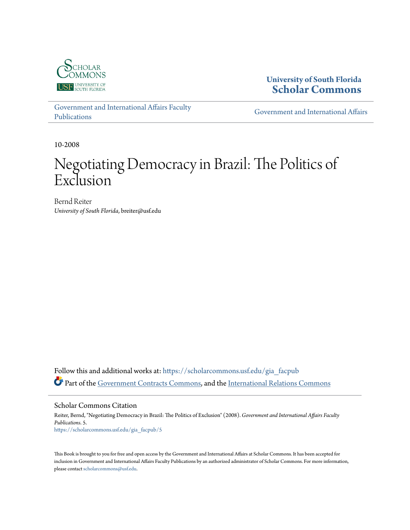

**University of South Florida [Scholar Commons](https://scholarcommons.usf.edu?utm_source=scholarcommons.usf.edu%2Fgia_facpub%2F5&utm_medium=PDF&utm_campaign=PDFCoverPages)**

[Government and International Affairs Faculty](https://scholarcommons.usf.edu/gia_facpub?utm_source=scholarcommons.usf.edu%2Fgia_facpub%2F5&utm_medium=PDF&utm_campaign=PDFCoverPages) [Publications](https://scholarcommons.usf.edu/gia_facpub?utm_source=scholarcommons.usf.edu%2Fgia_facpub%2F5&utm_medium=PDF&utm_campaign=PDFCoverPages)

[Government and International Affairs](https://scholarcommons.usf.edu/gia?utm_source=scholarcommons.usf.edu%2Fgia_facpub%2F5&utm_medium=PDF&utm_campaign=PDFCoverPages)

10-2008

# Negotiating Democracy in Brazil: The Politics of Exclusion

Bernd Reiter *University of South Florida*, breiter@usf.edu

Follow this and additional works at: [https://scholarcommons.usf.edu/gia\\_facpub](https://scholarcommons.usf.edu/gia_facpub?utm_source=scholarcommons.usf.edu%2Fgia_facpub%2F5&utm_medium=PDF&utm_campaign=PDFCoverPages) Part of the [Government Contracts Commons](http://network.bepress.com/hgg/discipline/845?utm_source=scholarcommons.usf.edu%2Fgia_facpub%2F5&utm_medium=PDF&utm_campaign=PDFCoverPages), and the [International Relations Commons](http://network.bepress.com/hgg/discipline/389?utm_source=scholarcommons.usf.edu%2Fgia_facpub%2F5&utm_medium=PDF&utm_campaign=PDFCoverPages)

Scholar Commons Citation Reiter, Bernd, "Negotiating Democracy in Brazil: The Politics of Exclusion" (2008). *Government and International Affairs Faculty Publications*. 5. [https://scholarcommons.usf.edu/gia\\_facpub/5](https://scholarcommons.usf.edu/gia_facpub/5?utm_source=scholarcommons.usf.edu%2Fgia_facpub%2F5&utm_medium=PDF&utm_campaign=PDFCoverPages)

This Book is brought to you for free and open access by the Government and International Affairs at Scholar Commons. It has been accepted for inclusion in Government and International Affairs Faculty Publications by an authorized administrator of Scholar Commons. For more information, please contact [scholarcommons@usf.edu.](mailto:scholarcommons@usf.edu)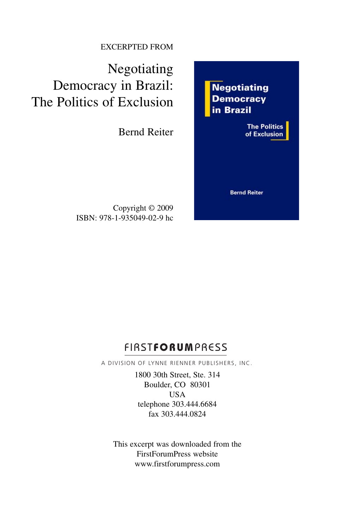#### EXCERPTED FROM

Negotiating Democracy in Brazil: The Politics of Exclusion

Bernd Reiter

Copyright © 2009 ISBN: 978-1-935049-02-9 hc **Negotiating Democracy** in Brazil

> **The Politics** of Exclusion

**Bernd Reiter** 

## FIRST**FORUM**PRESS

A DIVISION OF LYNNE RIENNER PUBLISHERS, INC.

1800 30th Street, Ste. 314 Boulder, CO 80301 USA telephone 303.444.6684 fax 303.444.0824

This excerpt was downloaded from the FirstForumPress website www.firstforumpress.com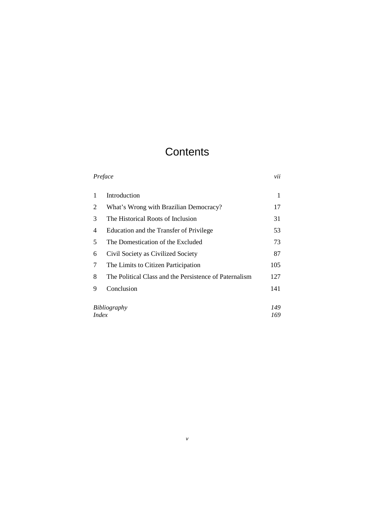## **Contents**

| Preface      |                                                        | vii |
|--------------|--------------------------------------------------------|-----|
| 1            | Introduction                                           | 1   |
| 2            | What's Wrong with Brazilian Democracy?                 | 17  |
| 3            | The Historical Roots of Inclusion                      | 31  |
| 4            | Education and the Transfer of Privilege                | 53  |
| 5            | The Domestication of the Excluded                      | 73  |
| 6            | Civil Society as Civilized Society                     | 87  |
| 7            | The Limits to Citizen Participation                    | 105 |
| 8            | The Political Class and the Persistence of Paternalism | 127 |
| 9            | Conclusion                                             | 141 |
|              |                                                        |     |
| Bibliography |                                                        | 149 |
| <i>Index</i> |                                                        | 169 |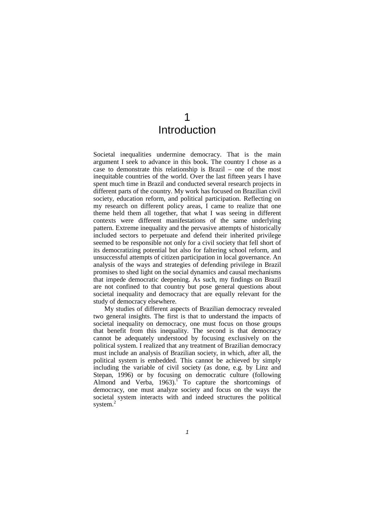## 1 Introduction

Societal inequalities undermine democracy. That is the main argument I seek to advance in this book. The country I chose as a case to demonstrate this relationship is Brazil – one of the most inequitable countries of the world. Over the last fifteen years I have spent much time in Brazil and conducted several research projects in different parts of the country. My work has focused on Brazilian civil society, education reform, and political participation. Reflecting on my research on different policy areas, I came to realize that one theme held them all together, that what I was seeing in different contexts were different manifestations of the same underlying pattern. Extreme inequality and the pervasive attempts of historically included sectors to perpetuate and defend their inherited privilege seemed to be responsible not only for a civil society that fell short of its democratizing potential but also for faltering school reform, and unsuccessful attempts of citizen participation in local governance. An analysis of the ways and strategies of defending privilege in Brazil promises to shed light on the social dynamics and causal mechanisms that impede democratic deepening. As such, my findings on Brazil are not confined to that country but pose general questions about societal inequality and democracy that are equally relevant for the study of democracy elsewhere.

My studies of different aspects of Brazilian democracy revealed two general insights. The first is that to understand the impacts of societal inequality on democracy, one must focus on those groups that benefit from this inequality. The second is that democracy cannot be adequately understood by focusing exclusively on the political system. I realized that any treatment of Brazilian democracy must include an analysis of Brazilian society, in which, after all, the political system is embedded. This cannot be achieved by simply including the variable of civil society (as done, e.g. by Linz and Stepan, 1996) or by focusing on democratic culture (following Almond and Verba,  $1963$ .<sup>1</sup> To capture the shortcomings of democracy, one must analyze society and focus on the ways the societal system interacts with and indeed structures the political system. $^{2}$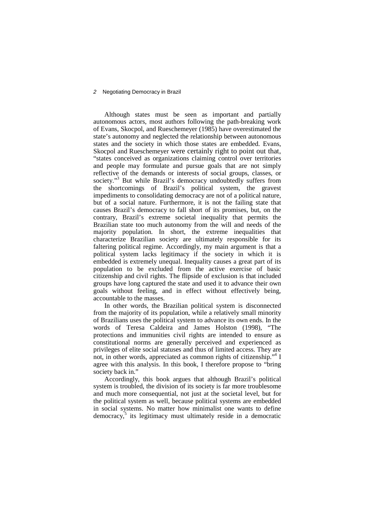Although states must be seen as important and partially autonomous actors, most authors following the path-breaking work of Evans, Skocpol, and Rueschemeyer (1985) have overestimated the state's autonomy and neglected the relationship between autonomous states and the society in which those states are embedded. Evans, Skocpol and Rueschemeyer were certainly right to point out that, "states conceived as organizations claiming control over territories and people may formulate and pursue goals that are not simply reflective of the demands or interests of social groups, classes, or society."<sup>3</sup> But while Brazil's democracy undoubtedly suffers from the shortcomings of Brazil's political system, the gravest impediments to consolidating democracy are not of a political nature, but of a social nature. Furthermore, it is not the failing state that causes Brazil's democracy to fall short of its promises, but, on the contrary, Brazil's extreme societal inequality that permits the Brazilian state too much autonomy from the will and needs of the majority population. In short, the extreme inequalities that characterize Brazilian society are ultimately responsible for its faltering political regime. Accordingly, my main argument is that a political system lacks legitimacy if the society in which it is embedded is extremely unequal. Inequality causes a great part of its population to be excluded from the active exercise of basic citizenship and civil rights. The flipside of exclusion is that included groups have long captured the state and used it to advance their own goals without feeling, and in effect without effectively being, accountable to the masses.

In other words, the Brazilian political system is disconnected from the majority of its population, while a relatively small minority of Brazilians uses the political system to advance its own ends. In the words of Teresa Caldeira and James Holston (1998), "The protections and immunities civil rights are intended to ensure as constitutional norms are generally perceived and experienced as privileges of elite social statuses and thus of limited access. They are not, in other words, appreciated as common rights of citizenship."<sup>4</sup> I agree with this analysis. In this book, I therefore propose to "bring society back in."

Accordingly, this book argues that although Brazil's political system is troubled, the division of its society is far more troublesome and much more consequential, not just at the societal level, but for the political system as well, because political systems are embedded in social systems. No matter how minimalist one wants to define democracy,<sup>5</sup> its legitimacy must ultimately reside in a democratic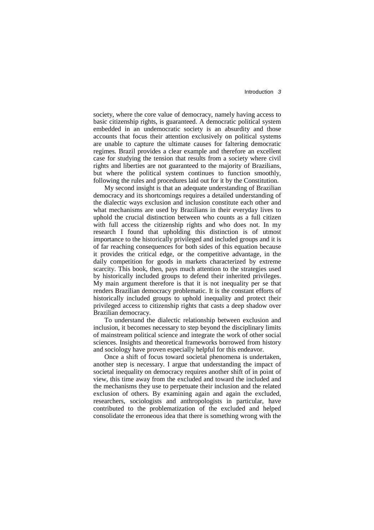society, where the core value of democracy, namely having access to basic citizenship rights, is guaranteed. A democratic political system embedded in an undemocratic society is an absurdity and those accounts that focus their attention exclusively on political systems are unable to capture the ultimate causes for faltering democratic regimes. Brazil provides a clear example and therefore an excellent case for studying the tension that results from a society where civil rights and liberties are not guaranteed to the majority of Brazilians, but where the political system continues to function smoothly, following the rules and procedures laid out for it by the Constitution.

My second insight is that an adequate understanding of Brazilian democracy and its shortcomings requires a detailed understanding of the dialectic ways exclusion and inclusion constitute each other and what mechanisms are used by Brazilians in their everyday lives to uphold the crucial distinction between who counts as a full citizen with full access the citizenship rights and who does not. In my research I found that upholding this distinction is of utmost importance to the historically privileged and included groups and it is of far reaching consequences for both sides of this equation because it provides the critical edge, or the competitive advantage, in the daily competition for goods in markets characterized by extreme scarcity. This book, then, pays much attention to the strategies used by historically included groups to defend their inherited privileges. My main argument therefore is that it is not inequality per se that renders Brazilian democracy problematic. It is the constant efforts of historically included groups to uphold inequality and protect their privileged access to citizenship rights that casts a deep shadow over Brazilian democracy.

To understand the dialectic relationship between exclusion and inclusion, it becomes necessary to step beyond the disciplinary limits of mainstream political science and integrate the work of other social sciences. Insights and theoretical frameworks borrowed from history and sociology have proven especially helpful for this endeavor.

Once a shift of focus toward societal phenomena is undertaken, another step is necessary. I argue that understanding the impact of societal inequality on democracy requires another shift of in point of view, this time away from the excluded and toward the included and the mechanisms they use to perpetuate their inclusion and the related exclusion of others. By examining again and again the excluded, researchers, sociologists and anthropologists in particular, have contributed to the problematization of the excluded and helped consolidate the erroneous idea that there is something wrong with the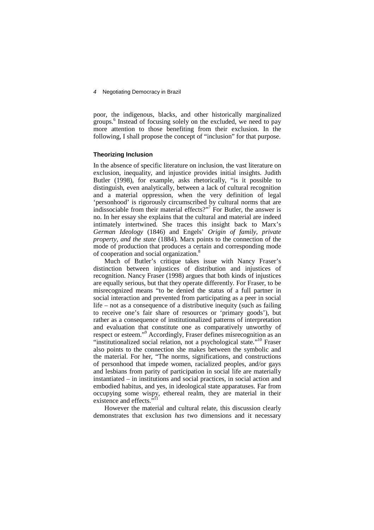poor, the indigenous, blacks, and other historically marginalized groups.<sup>6</sup> Instead of focusing solely on the excluded, we need to pay more attention to those benefiting from their exclusion. In the following, I shall propose the concept of "inclusion" for that purpose.

#### **Theorizing Inclusion**

In the absence of specific literature on inclusion, the vast literature on exclusion, inequality, and injustice provides initial insights. Judith Butler (1998), for example, asks rhetorically, "is it possible to distinguish, even analytically, between a lack of cultural recognition and a material oppression, when the very definition of legal 'personhood' is rigorously circumscribed by cultural norms that are indissociable from their material effects?"<sup>7</sup> For Butler, the answer is no. In her essay she explains that the cultural and material are indeed intimately intertwined. She traces this insight back to Marx's *German Ideology* (1846) and Engels' *Origin of family, private property, and the state* (1884). Marx points to the connection of the mode of production that produces a certain and corresponding mode of cooperation and social organization.<sup>8</sup>

Much of Butler's critique takes issue with Nancy Fraser's distinction between injustices of distribution and injustices of recognition. Nancy Fraser (1998) argues that both kinds of injustices are equally serious, but that they operate differently. For Fraser, to be misrecognized means "to be denied the status of a full partner in social interaction and prevented from participating as a peer in social life – not as a consequence of a distributive inequity (such as failing to receive one's fair share of resources or 'primary goods'), but rather as a consequence of institutionalized patterns of interpretation and evaluation that constitute one as comparatively unworthy of respect or esteem."<sup>9</sup> Accordingly, Fraser defines misrecognition as an "institutionalized social relation, not a psychological state."<sup>10</sup> Fraser also points to the connection she makes between the symbolic and the material. For her, "The norms, significations, and constructions of personhood that impede women, racialized peoples, and/or gays and lesbians from parity of participation in social life are materially instantiated – in institutions and social practices, in social action and embodied habitus, and yes, in ideological state apparatuses. Far from occupying some wispy, ethereal realm, they are material in their existence and effects. $^{511}$ 

However the material and cultural relate, this discussion clearly demonstrates that exclusion *has* two dimensions and it necessary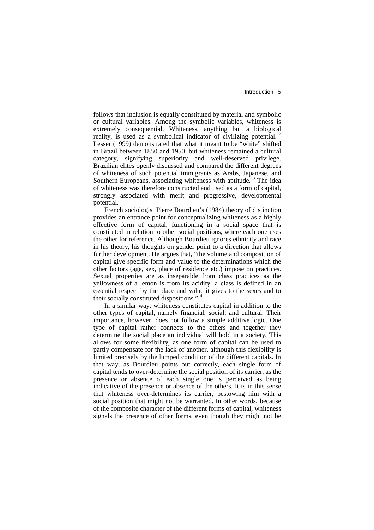follows that inclusion is equally constituted by material and symbolic or cultural variables. Among the symbolic variables, whiteness is extremely consequential. Whiteness, anything but a biological reality, is used as a symbolical indicator of civilizing potential.<sup>12</sup> Lesser (1999) demonstrated that what it meant to be "white" shifted in Brazil between 1850 and 1950, but whiteness remained a cultural signifying superiority and well-deserved privilege. Brazilian elites openly discussed and compared the different degrees of whiteness of such potential immigrants as Arabs, Japanese, and Southern Europeans, associating whiteness with aptitude.<sup>13</sup> The idea of whiteness was therefore constructed and used as a form of capital, strongly associated with merit and progressive, developmental potential.

French sociologist Pierre Bourdieu's (1984) theory of distinction provides an entrance point for conceptualizing whiteness as a highly effective form of capital, functioning in a social space that is constituted in relation to other social positions, where each one uses the other for reference. Although Bourdieu ignores ethnicity and race in his theory, his thoughts on gender point to a direction that allows further development. He argues that, "the volume and composition of capital give specific form and value to the determinations which the other factors (age, sex, place of residence etc.) impose on practices. Sexual properties are as inseparable from class practices as the yellowness of a lemon is from its acidity: a class is defined in an essential respect by the place and value it gives to the sexes and to their socially constituted dispositions."<sup>14</sup>

In a similar way, whiteness constitutes capital in addition to the other types of capital, namely financial, social, and cultural. Their importance, however, does not follow a simple additive logic. One type of capital rather connects to the others and together they determine the social place an individual will hold in a society. This allows for some flexibility, as one form of capital can be used to partly compensate for the lack of another, although this flexibility is limited precisely by the lumped condition of the different capitals. In that way, as Bourdieu points out correctly, each single form of capital tends to over-determine the social position of its carrier, as the presence or absence of each single one is perceived as being indicative of the presence or absence of the others. It is in this sense that whiteness over-determines its carrier, bestowing him with a social position that might not be warranted. In other words, because of the composite character of the different forms of capital, whiteness signals the presence of other forms, even though they might not be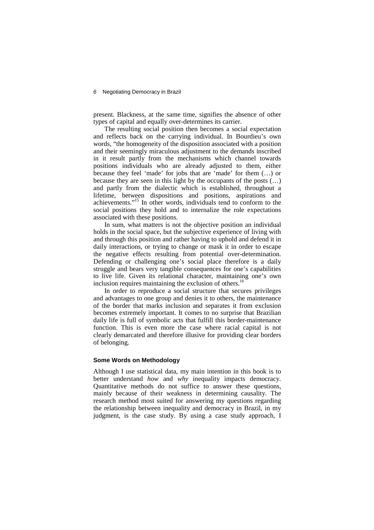present. Blackness, at the same time, signifies the absence of other types of capital and equally over-determines its carrier.

The resulting social position then becomes a social expectation and reflects back on the carrying individual. In Bourdieu's own words, "the homogeneity of the disposition associated with a position and their seemingly miraculous adjustment to the demands inscribed in it result partly from the mechanisms which channel towards positions individuals who are already adjusted to them, either because they feel 'made' for jobs that are 'made' for them (…) or because they are seen in this light by the occupants of the posts (…) and partly from the dialectic which is established, throughout a lifetime, between dispositions and positions, aspirations and achievements."<sup>15</sup> In other words, individuals tend to conform to the social positions they hold and to internalize the role expectations associated with these positions.

In sum, what matters is not the objective position an individual holds in the social space, but the subjective experience of living with and through this position and rather having to uphold and defend it in daily interactions, or trying to change or mask it in order to escape the negative effects resulting from potential over-determination. Defending or challenging one's social place therefore is a daily struggle and bears very tangible consequences for one's capabilities to live life. Given its relational character, maintaining one's own inclusion requires maintaining the exclusion of others.<sup>16</sup>

In order to reproduce a social structure that secures privileges and advantages to one group and denies it to others, the maintenance of the border that marks inclusion and separates it from exclusion becomes extremely important. It comes to no surprise that Brazilian daily life is full of symbolic acts that fulfill this border-maintenance function. This is even more the case where racial capital is not clearly demarcated and therefore illusive for providing clear borders of belonging.

#### **Some Words on Methodology**

Although I use statistical data, my main intention in this book is to better understand *how* and *why* inequality impacts democracy. Quantitative methods do not suffice to answer these questions, mainly because of their weakness in determining causality. The research method most suited for answering my questions regarding the relationship between inequality and democracy in Brazil, in my judgment, is the case study. By using a case study approach, I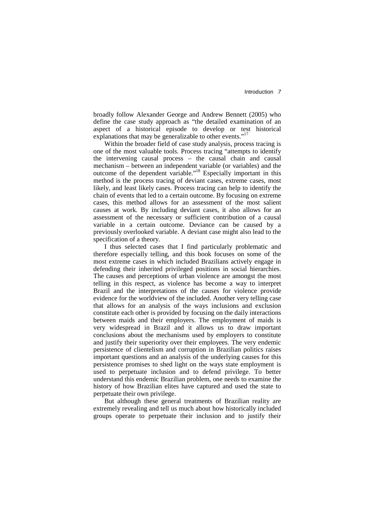broadly follow Alexander George and Andrew Bennett (2005) who define the case study approach as "the detailed examination of an aspect of a historical episode to develop or test historical explanations that may be generalizable to other events."<sup>17</sup>

Within the broader field of case study analysis, process tracing is one of the most valuable tools. Process tracing "attempts to identify the intervening causal process – the causal chain and causal mechanism – between an independent variable (or variables) and the outcome of the dependent variable."<sup>18</sup> Especially important in this method is the process tracing of deviant cases, extreme cases, most likely, and least likely cases. Process tracing can help to identify the chain of events that led to a certain outcome. By focusing on extreme cases, this method allows for an assessment of the most salient causes at work. By including deviant cases, it also allows for an assessment of the necessary or sufficient contribution of a causal variable in a certain outcome. Deviance can be caused by a previously overlooked variable. A deviant case might also lead to the specification of a theory.

I thus selected cases that I find particularly problematic and therefore especially telling, and this book focuses on some of the most extreme cases in which included Brazilians actively engage in defending their inherited privileged positions in social hierarchies. The causes and perceptions of urban violence are amongst the most telling in this respect, as violence has become a way to interpret Brazil and the interpretations of the causes for violence provide evidence for the worldview of the included. Another very telling case that allows for an analysis of the ways inclusions and exclusion constitute each other is provided by focusing on the daily interactions between maids and their employers. The employment of maids is very widespread in Brazil and it allows us to draw important conclusions about the mechanisms used by employers to constitute and justify their superiority over their employees. The very endemic persistence of clientelism and corruption in Brazilian politics raises important questions and an analysis of the underlying causes for this persistence promises to shed light on the ways state employment is used to perpetuate inclusion and to defend privilege. To better understand this endemic Brazilian problem, one needs to examine the history of how Brazilian elites have captured and used the state to perpetuate their own privilege.

But although these general treatments of Brazilian reality are extremely revealing and tell us much about how historically included groups operate to perpetuate their inclusion and to justify their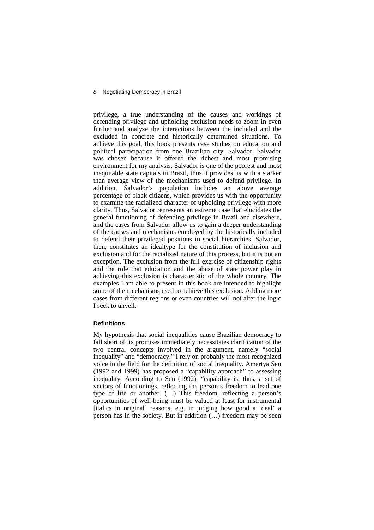privilege, a true understanding of the causes and workings of defending privilege and upholding exclusion needs to zoom in even further and analyze the interactions between the included and the excluded in concrete and historically determined situations. To achieve this goal, this book presents case studies on education and political participation from one Brazilian city, Salvador. Salvador was chosen because it offered the richest and most promising environment for my analysis. Salvador is one of the poorest and most inequitable state capitals in Brazil, thus it provides us with a starker than average view of the mechanisms used to defend privilege. In addition, Salvador's population includes an percentage of black citizens, which provides us with the opportunity to examine the racialized character of upholding privilege with more clarity. Thus, Salvador represents an extreme case that elucidates the general functioning of defending privilege in Brazil and elsewhere, and the cases from Salvador allow us to gain a deeper understanding of the causes and mechanisms employed by the historically included to defend their privileged positions in social hierarchies. Salvador, then, constitutes an idealtype for the constitution of inclusion and exclusion and for the racialized nature of this process, but it is not an exception. The exclusion from the full exercise of citizenship rights and the role that education and the abuse of state power play in achieving this exclusion is characteristic of the whole country. The examples I am able to present in this book are intended to highlight some of the mechanisms used to achieve this exclusion. Adding more cases from different regions or even countries will not alter the logic I seek to unveil.

#### **Definitions**

My hypothesis that social inequalities cause Brazilian democracy to fall short of its promises immediately necessitates clarification of the two central concepts involved in the argument, namely "social inequality" and "democracy." I rely on probably the most recognized voice in the field for the definition of social inequality. Amartya Sen (1992 and 1999) has proposed a "capability approach" to assessing inequality. According to Sen (1992), "capability is, thus, a set of vectors of functionings, reflecting the person's freedom to lead one type of life or another. (…) This freedom, reflecting a person's opportunities of well-being must be valued at least for instrumental [italics in original] reasons, e.g. in judging how good a 'deal' a person has in the society. But in addition (…) freedom may be seen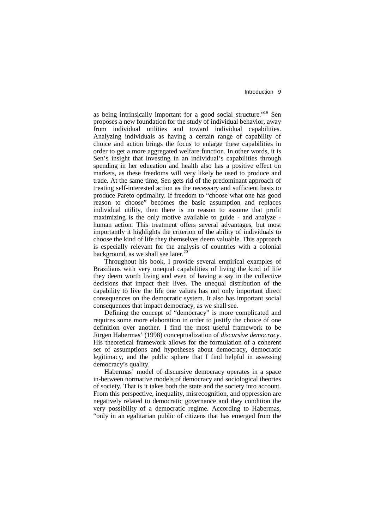as being intrinsically important for a good social structure."<sup>19</sup> Sen proposes a new foundation for the study of individual behavior, away from individual utilities and toward individual capabilities. Analyzing individuals as having a certain range of capability of choice and action brings the focus to enlarge these capabilities in order to get a more aggregated welfare function. In other words, it is Sen's insight that investing in an individual's capabilities through spending in her education and health also has a positive effect on markets, as these freedoms will very likely be used to produce and trade. At the same time, Sen gets rid of the predominant approach of treating self-interested action as the necessary and sufficient basis to produce Pareto optimality. If freedom to "choose what one has good reason to choose" becomes the basic assumption and replaces individual utility, then there is no reason to assume that profit maximizing is the only motive available to guide - and analyze human action. This treatment offers several advantages, but most importantly it highlights the criterion of the ability of individuals to choose the kind of life they themselves deem valuable. This approach is especially relevant for the analysis of countries with a colonial background, as we shall see later. $20$ 

Throughout his book, I provide several empirical examples of Brazilians with very unequal capabilities of living the kind of life they deem worth living and even of having a say in the collective decisions that impact their lives. The unequal distribution of the capability to live the life one values has not only important direct consequences on the democratic system. It also has important social consequences that impact democracy, as we shall see.

Defining the concept of "democracy" is more complicated and requires some more elaboration in order to justify the choice of one definition over another. I find the most useful framework to be Jürgen Habermas' (1998) conceptualization of *discursive democracy*. His theoretical framework allows for the formulation of a coherent set of assumptions and hypotheses about democracy, democratic legitimacy, and the public sphere that I find helpful in assessing democracy's quality.

Habermas' model of discursive democracy operates in a space in-between normative models of democracy and sociological theories of society. That is it takes both the state and the society into account. From this perspective, inequality, misrecognition, and oppression are negatively related to democratic governance and they condition the very possibility of a democratic regime. According to Habermas, "only in an egalitarian public of citizens that has emerged from the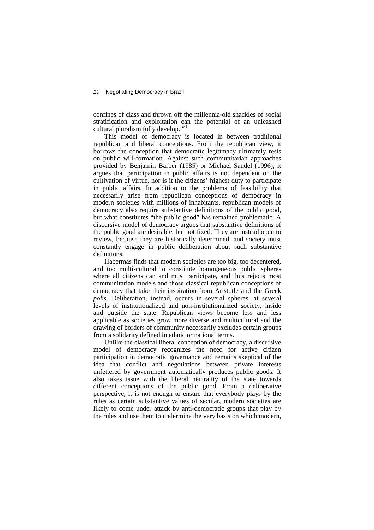confines of class and thrown off the millennia-old shackles of social stratification and exploitation can the potential of an unleashed cultural pluralism fully develop."<sup>21</sup>

This model of democracy is located in between traditional republican and liberal conceptions. From the republican view, it borrows the conception that democratic legitimacy ultimately rests on public will-formation. Against such communitarian approaches provided by Benjamin Barber (1985) or Michael Sandel (1996), it argues that participation in public affairs is not dependent on the cultivation of virtue, nor is it the citizens' highest duty to participate in public affairs. In addition to the problems of feasibility that necessarily arise from republican conceptions of democracy in modern societies with millions of inhabitants, republican models of democracy also require substantive definitions of the public good, but what constitutes "the public good" has remained problematic. A discursive model of democracy argues that substantive definitions of the public good are desirable, but not fixed. They are instead open to review, because they are historically determined, and society must constantly engage in public deliberation about such substantive definitions.

Habermas finds that modern societies are too big, too decentered, and too multi-cultural to constitute homogeneous public spheres where all citizens can and must participate, and thus rejects most communitarian models and those classical republican conceptions of democracy that take their inspiration from Aristotle and the Greek *polis*. Deliberation, instead, occurs in several spheres, at several levels of institutionalized and non-institutionalized society, inside and outside the state. Republican views become less and less applicable as societies grow more diverse and multicultural and the drawing of borders of community necessarily excludes certain groups from a solidarity defined in ethnic or national terms.

Unlike the classical liberal conception of democracy, a discursive model of democracy recognizes the need for active citizen participation in democratic governance and remains skeptical of the idea that conflict and negotiations between private interests unfettered by government automatically produces public goods. It also takes issue with the liberal neutrality of the state towards different conceptions of the public good. From a deliberative perspective, it is not enough to ensure that everybody plays by the rules as certain substantive values of secular, modern societies are likely to come under attack by anti-democratic groups that play by the rules and use them to undermine the very basis on which modern,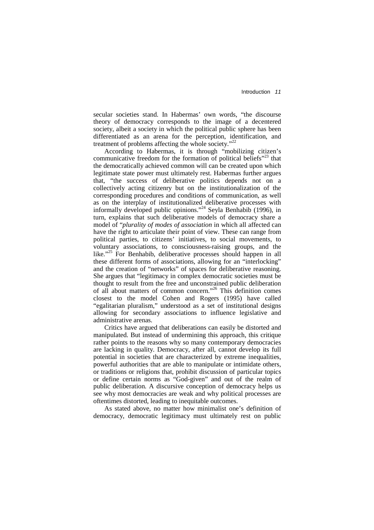secular societies stand. In Habermas' own words, "the discourse theory of democracy corresponds to the image of a decentered society, albeit a society in which the political public sphere has been differentiated as an arena for the perception, identification, and treatment of problems affecting the whole society."<sup>22</sup>

According to Habermas, it is through "mobilizing citizen's communicative freedom for the formation of political beliefs $^{23}$  that the democratically achieved common will can be created upon which legitimate state power must ultimately rest. Habermas further argues that, "the success of deliberative politics depends not on a collectively acting citizenry but on the institutionalization of the corresponding procedures and conditions of communication, as well as on the interplay of institutionalized deliberative processes with informally developed public opinions."<sup>24</sup> Seyla Benhabib (1996), in turn, explains that such deliberative models of democracy share a model of "*plurality of modes of association* in which all affected can have the right to articulate their point of view. These can range from political parties, to citizens' initiatives, to social movements, to voluntary associations, to consciousness-raising groups, and the like."<sup>25</sup> For Benhabib, deliberative processes should happen in all these different forms of associations, allowing for an "interlocking" and the creation of "networks" of spaces for deliberative reasoning. She argues that "legitimacy in complex democratic societies must be thought to result from the free and unconstrained public deliberation of all about matters of common concern."<sup>26</sup> This definition comes closest to the model Cohen and Rogers (1995) have called "egalitarian pluralism," understood as a set of institutional designs allowing for secondary associations to influence legislative and administrative arenas.

Critics have argued that deliberations can easily be distorted and manipulated. But instead of undermining this approach, this critique rather points to the reasons why so many contemporary democracies are lacking in quality. Democracy, after all, cannot develop its full potential in societies that are characterized by extreme inequalities, powerful authorities that are able to manipulate or intimidate others, or traditions or religions that, prohibit discussion of particular topics or define certain norms as "God-given" and out of the realm of public deliberation. A discursive conception of democracy helps us see why most democracies are weak and why political processes are oftentimes distorted, leading to inequitable outcomes.

As stated above, no matter how minimalist one's definition of democracy, democratic legitimacy must ultimately rest on public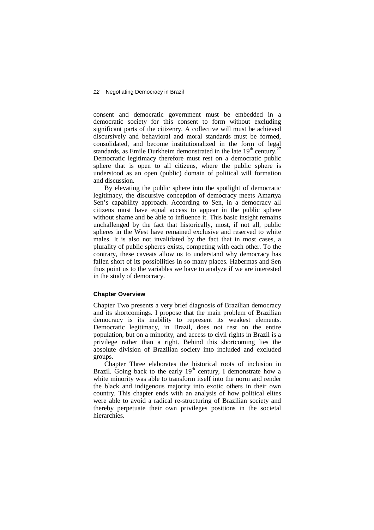consent and democratic government must be embedded in a democratic society for this consent to form without excluding significant parts of the citizenry. A collective will must be achieved discursively and behavioral and moral standards must be formed, consolidated, and become institutionalized in the form of legal standards, as Emile Durkheim demonstrated in the late  $19<sup>th</sup>$  century.<sup>27</sup> Democratic legitimacy therefore must rest on a democratic public sphere that is open to all citizens, where the public sphere is understood as an open (public) domain of political will formation and discussion.

By elevating the public sphere into the spotlight of democratic legitimacy, the discursive conception of democracy meets Amartya Sen's capability approach. According to Sen, in a democracy all citizens must have equal access to appear in the public sphere without shame and be able to influence it. This basic insight remains unchallenged by the fact that historically, most, if not all, public spheres in the West have remained exclusive and reserved to white males. It is also not invalidated by the fact that in most cases, a plurality of public spheres exists, competing with each other. To the contrary, these caveats allow us to understand why democracy has fallen short of its possibilities in so many places. Habermas and Sen thus point us to the variables we have to analyze if we are interested in the study of democracy.

#### **Chapter Overview**

Chapter Two presents a very brief diagnosis of Brazilian democracy and its shortcomings. I propose that the main problem of Brazilian democracy is its inability to represent its weakest elements. Democratic legitimacy, in Brazil, does not rest on the entire population, but on a minority, and access to civil rights in Brazil is a privilege rather than a right. Behind this shortcoming lies the absolute division of Brazilian society into included and excluded groups.

Chapter Three elaborates the historical roots of inclusion in Brazil. Going back to the early  $19<sup>th</sup>$  century, I demonstrate how a white minority was able to transform itself into the norm and render the black and indigenous majority into exotic others in their own country. This chapter ends with an analysis of how political elites were able to avoid a radical re-structuring of Brazilian society and thereby perpetuate their own privileges positions in the societal hierarchies.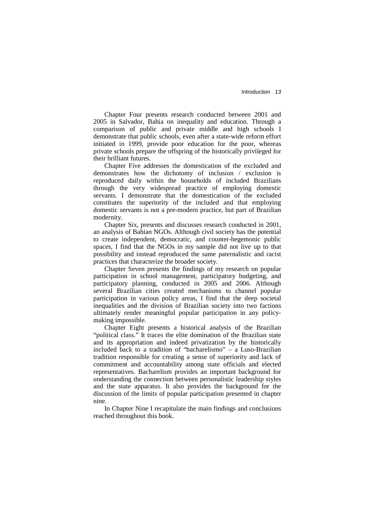Chapter Four presents research conducted between 2001 and 2005 in Salvador, Bahia on inequality and education. Through a comparison of public and private middle and high schools I demonstrate that public schools, even after a state-wide reform effort initiated in 1999, provide poor education for the poor, whereas private schools prepare the offspring of the historically privileged for their brilliant futures.

Chapter Five addresses the domestication of the excluded and demonstrates how the dichotomy of inclusion / exclusion is reproduced daily within the households of included Brazilians through the very widespread practice of employing domestic servants. I demonstrate that the domestication of the excluded constitutes the superiority of the included and that employing domestic servants is not a pre-modern practice, but part of Brazilian modernity.

Chapter Six, presents and discusses research conducted in 2001, an analysis of Bahian NGOs. Although civil society has the potential to create independent, democratic, and counter-hegemonic public spaces, I find that the NGOs in my sample did not live up to that possibility and instead reproduced the same paternalistic and racist practices that characterize the broader society.

Chapter Seven presents the findings of my research on popular participation in school management, participatory budgeting, and participatory planning, conducted in 2005 and 2006. Although several Brazilian cities created mechanisms to channel popular participation in various policy areas, I find that the deep societal inequalities and the division of Brazilian society into two factions ultimately render meaningful popular participation in any policymaking impossible.

Chapter Eight presents a historical analysis of the Brazilian "political class." It traces the elite domination of the Brazilian state and its appropriation and indeed privatization by the historically included back to a tradition of "bacharelismo" – a Luso-Brazilian tradition responsible for creating a sense of superiority and lack of commitment and accountability among state officials and elected representatives. Bacharelism provides an important background for understanding the connection between personalistic leadership styles and the state apparatus. It also provides the background for the discussion of the limits of popular participation presented in chapter nine.

In Chapter Nine I recapitulate the main findings and conclusions reached throughout this book.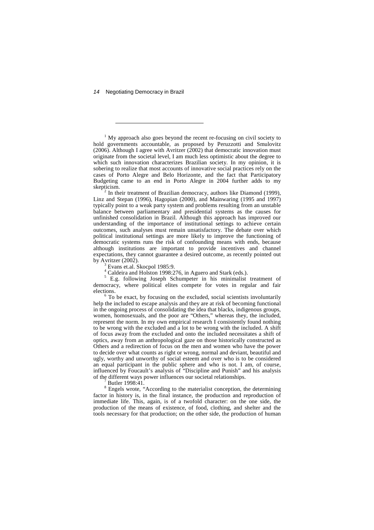-

<sup>1</sup> My approach also goes beyond the recent re-focusing on civil society to hold governments accountable, as proposed by Peruzzotti and Smulovitz  $(2006)$ . Although I agree with Avritzer  $(2002)$  that democratic innovation must originate from the societal level, I am much less optimistic about the degree to which such innovation characterizes Brazilian society. In my opinion, it is sobering to realize that most accounts of innovative social practices rely on the cases of Porto Alegre and Belo Horizonte, and the fact that Participatory Budgeting came to an end in Porto Alegre in 2004 further adds to my skepticism.

2 In their treatment of Brazilian democracy, authors like Diamond (1999), Linz and Stepan (1996), Hagopian (2000), and Mainwaring (1995 and 1997) typically point to a weak party system and problems resulting from an unstable balance between parliamentary and presidential systems as the causes for unfinished consolidation in Brazil. Although this approach has improved our understanding of the importance of institutional settings to achieve certain outcomes, such analyses must remain unsatisfactory. The debate over which political institutional settings are more likely to improve the functioning of democratic systems runs the risk of confounding means with ends, because although institutions are important to provide incentives and channel expectations, they cannot guarantee a desired outcome, as recently pointed out by Avritzer (2002).

3 Evans et.al. Skocpol 1985:9.

 $^{4}_{\sim}$  Caldeira and Holston 1998:276, in Aguero and Stark (eds.).

<sup>5</sup> E.g. following Joseph Schumpeter in his minimalist treatment of democracy, where political elites compete for votes in regular and fair elections.

<sup>6</sup> To be exact, by focusing on the excluded, social scientists involuntarily help the included to escape analysis and they are at risk of becoming functional in the ongoing process of consolidating the idea that blacks, indigenous groups, women, homosexuals, and the poor are "Others," whereas they, the included, represent the norm. In my own empirical research I consistently found nothing to be wrong with the excluded and a lot to be wrong with the included. A shift of focus away from the excluded and onto the included necessitates a shift of optics, away from an anthropological gaze on those historically constructed as Others and a redirection of focus on the men and women who have the power to decide over what counts as right or wrong, normal and deviant, beautiful and ugly, worthy and unworthy of social esteem and over who is to be considered an equal participant in the public sphere and who is not. I am, of course, influenced by Foucault's analysis of "Discipline and Punish" and his analysis of the different ways power influences our societal relationships.

7 Butler 1998:41.

<sup>8</sup> Engels wrote, "According to the materialist conception, the determining factor in history is, in the final instance, the production and reproduction of immediate life. This, again, is of a twofold character: on the one side, the production of the means of existence, of food, clothing, and shelter and the tools necessary for that production; on the other side, the production of human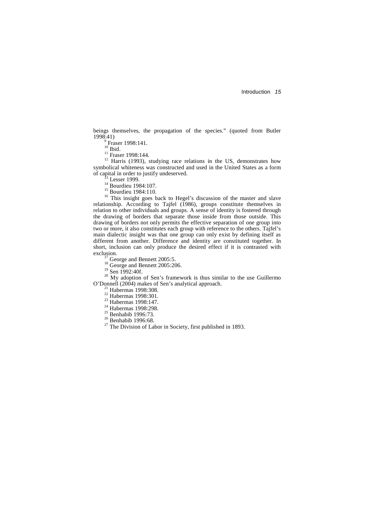beings themselves, the propagation of the species." (quoted from Butler 1998:41)

 $^{9}$  Fraser 1998:141.

 $10$  Ibid.

<sup>11</sup> Fraser 1998:144.

<sup>12</sup> Harris (1993), studying race relations in the US, demonstrates how symbolical whiteness was constructed and used in the United States as a form of capital in order to justify undeserved.

Lesser 1999.

<sup>14</sup> Bourdieu 1984:107.

<sup>15</sup> Bourdieu 1984:110.

<sup>16</sup> This insight goes back to Hegel's discussion of the master and slave relationship. According to Tajfel (1986), groups constitute themselves in relation to other individuals and groups. A sense of identity is fostered through the drawing of borders that separate those inside from those outside. This drawing of borders not only permits the effective separation of one group into two or more, it also constitutes each group with reference to the others. Tajfel's main dialectic insight was that one group can only exist by defining itself as different from another. Difference and identity are constituted together. In short, inclusion can only produce the desired effect if it is contrasted with exclusion.

 $17$  George and Bennett 2005:5.

 $18$  George and Bennett 2005:206.

<sup>19</sup> Sen 1992:40f.

 $20$  My adoption of Sen's framework is thus similar to the use Guillermo O'Donnell (2004) makes of Sen's analytical approach.

 $21$  Habermas 1998:308.

<sup>22</sup> Habermas 1998:301.

<sup>23</sup> Habermas 1998:147.

<sup>24</sup> Habermas 1998:298.

<sup>25</sup> Benhabib 1996:73.

 $26$  Benhabib 1996:68.

 $27$  The Division of Labor in Society, first published in 1893.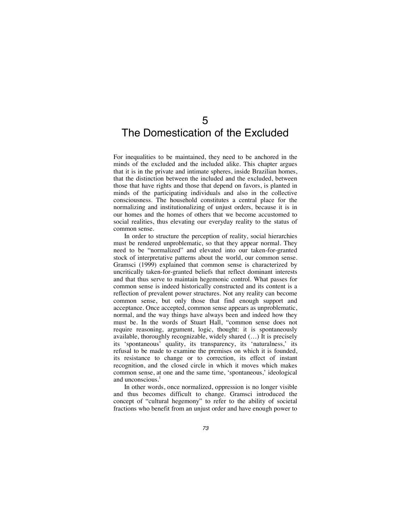## 5 The Domestication of the Excluded

For inequalities to be maintained, they need to be anchored in the minds of the excluded and the included alike. This chapter argues that it is in the private and intimate spheres, inside Brazilian homes, that the distinction between the included and the excluded, between those that have rights and those that depend on favors, is planted in minds of the participating individuals and also in the collective consciousness. The household constitutes a central place for the normalizing and institutionalizing of unjust orders, because it is in our homes and the homes of others that we become accustomed to social realities, thus elevating our everyday reality to the status of common sense.

In order to structure the perception of reality, social hierarchies must be rendered unproblematic, so that they appear normal. They need to be "normalized" and elevated into our taken-for-granted stock of interpretative patterns about the world, our common sense. Gramsci (1999) explained that common sense is characterized by uncritically taken-for-granted beliefs that reflect dominant interests and that thus serve to maintain hegemonic control. What passes for common sense is indeed historically constructed and its content is a reflection of prevalent power structures. Not any reality can become common sense, but only those that find enough support and acceptance. Once accepted, common sense appears as unproblematic, normal, and the way things have always been and indeed how they must be. In the words of Stuart Hall, "common sense does not require reasoning, argument, logic, thought: it is spontaneously available, thoroughly recognizable, widely shared (…) It is precisely its 'spontaneous' quality, its transparency, its 'naturalness,' its refusal to be made to examine the premises on which it is founded, its resistance to change or to correction, its effect of instant recognition, and the closed circle in which it moves which makes common sense, at one and the same time, 'spontaneous,' ideological and unconscious.<sup>1</sup>

In other words, once normalized, oppression is no longer visible and thus becomes difficult to change. Gramsci introduced the concept of "cultural hegemony" to refer to the ability of societal fractions who benefit from an unjust order and have enough power to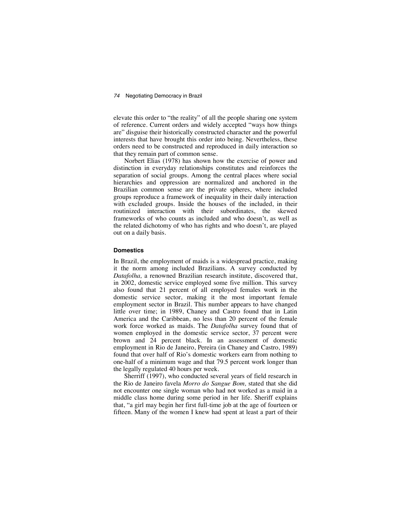elevate this order to "the reality" of all the people sharing one system of reference. Current orders and widely accepted "ways how things are" disguise their historically constructed character and the powerful interests that have brought this order into being. Nevertheless, these orders need to be constructed and reproduced in daily interaction so that they remain part of common sense.

Norbert Elias (1978) has shown how the exercise of power and distinction in everyday relationships constitutes and reinforces the separation of social groups. Among the central places where social hierarchies and oppression are normalized and anchored in the Brazilian common sense are the private spheres, where included groups reproduce a framework of inequality in their daily interaction with excluded groups. Inside the houses of the included, in their routinized interaction with their subordinates, the skewed frameworks of who counts as included and who doesn't, as well as the related dichotomy of who has rights and who doesn't, are played out on a daily basis.

#### **Domestics**

In Brazil, the employment of maids is a widespread practice, making it the norm among included Brazilians. A survey conducted by *Datafolha,* a renowned Brazilian research institute, discovered that, in 2002, domestic service employed some five million. This survey also found that 21 percent of all employed females work in the domestic service sector, making it the most important female employment sector in Brazil. This number appears to have changed little over time; in 1989, Chaney and Castro found that in Latin America and the Caribbean, no less than 20 percent of the female work force worked as maids. The *Datafolha* survey found that of women employed in the domestic service sector, 37 percent were brown and 24 percent black. In an assessment of domestic employment in Rio de Janeiro, Pereira (in Chaney and Castro, 1989) found that over half of Rio's domestic workers earn from nothing to one-half of a minimum wage and that 79.5 percent work longer than the legally regulated 40 hours per week.

Sherriff (1997), who conducted several years of field research in the Rio de Janeiro favela *Morro do Sangue Bom,* stated that she did not encounter one single woman who had not worked as a maid in a middle class home during some period in her life. Sheriff explains that, "a girl may begin her first full-time job at the age of fourteen or fifteen. Many of the women I knew had spent at least a part of their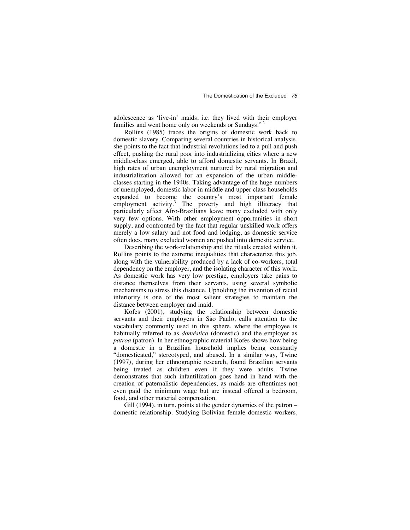adolescence as 'live-in' maids, i.e. they lived with their employer families and went home only on weekends or Sundays."<sup>2</sup>

Rollins (1985) traces the origins of domestic work back to domestic slavery. Comparing several countries in historical analysis, she points to the fact that industrial revolutions led to a pull and push effect, pushing the rural poor into industrializing cities where a new middle-class emerged, able to afford domestic servants. In Brazil, high rates of urban unemployment nurtured by rural migration and industrialization allowed for an expansion of the urban middleclasses starting in the 1940s. Taking advantage of the huge numbers of unemployed, domestic labor in middle and upper class households expanded to become the country's most important female employment activity.<sup>3</sup> The poverty and high illiteracy that particularly affect Afro-Brazilians leave many excluded with only very few options. With other employment opportunities in short supply, and confronted by the fact that regular unskilled work offers merely a low salary and not food and lodging, as domestic service often does, many excluded women are pushed into domestic service.

Describing the work-relationship and the rituals created within it, Rollins points to the extreme inequalities that characterize this job, along with the vulnerability produced by a lack of co-workers, total dependency on the employer, and the isolating character of this work. As domestic work has very low prestige, employers take pains to distance themselves from their servants, using several symbolic mechanisms to stress this distance. Upholding the invention of racial inferiority is one of the most salient strategies to maintain the distance between employer and maid.

Kofes (2001), studying the relationship between domestic servants and their employers in São Paulo, calls attention to the vocabulary commonly used in this sphere, where the employee is habitually referred to as *doméstica* (domestic) and the employer as *patroa* (patron). In her ethnographic material Kofes shows how being a domestic in a Brazilian household implies being constantly "domesticated," stereotyped, and abused. In a similar way, Twine (1997), during her ethnographic research, found Brazilian servants being treated as children even if they were adults. Twine demonstrates that such infantilization goes hand in hand with the creation of paternalistic dependencies, as maids are oftentimes not even paid the minimum wage but are instead offered a bedroom, food, and other material compensation.

Gill (1994), in turn, points at the gender dynamics of the patron – domestic relationship. Studying Bolivian female domestic workers,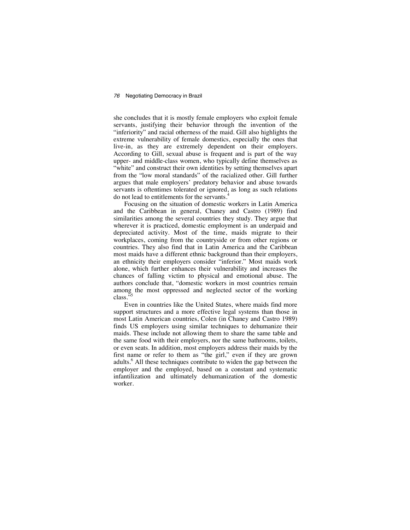she concludes that it is mostly female employers who exploit female servants, justifying their behavior through the invention of the "inferiority" and racial otherness of the maid. Gill also highlights the extreme vulnerability of female domestics, especially the ones that live-in, as they are extremely dependent on their employers. According to Gill, sexual abuse is frequent and is part of the way upper- and middle-class women, who typically define themselves as "white" and construct their own identities by setting themselves apart from the "low moral standards" of the racialized other. Gill further argues that male employers' predatory behavior and abuse towards servants is oftentimes tolerated or ignored, as long as such relations do not lead to entitlements for the servants.

Focusing on the situation of domestic workers in Latin America and the Caribbean in general, Chaney and Castro (1989) find similarities among the several countries they study. They argue that wherever it is practiced, domestic employment is an underpaid and depreciated activity. Most of the time, maids migrate to their workplaces, coming from the countryside or from other regions or countries. They also find that in Latin America and the Caribbean most maids have a different ethnic background than their employers, an ethnicity their employers consider "inferior." Most maids work alone, which further enhances their vulnerability and increases the chances of falling victim to physical and emotional abuse. The authors conclude that, "domestic workers in most countries remain among the most oppressed and neglected sector of the working class."

Even in countries like the United States, where maids find more support structures and a more effective legal systems than those in most Latin American countries, Colen (in Chaney and Castro 1989) finds US employers using similar techniques to dehumanize their maids. These include not allowing them to share the same table and the same food with their employers, nor the same bathrooms, toilets, or even seats. In addition, most employers address their maids by the first name or refer to them as "the girl," even if they are grown adults.<sup>6</sup> All these techniques contribute to widen the gap between the employer and the employed, based on a constant and systematic infantilization and ultimately dehumanization of the domestic worker.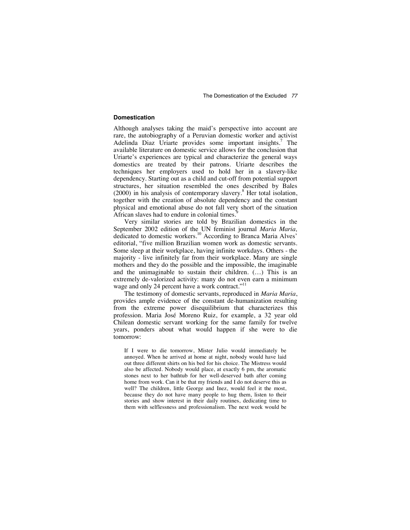#### **Domestication**

Although analyses taking the maid's perspective into account are rare, the autobiography of a Peruvian domestic worker and activist Adelinda Diaz Uriarte provides some important insights.<sup>7</sup> The available literature on domestic service allows for the conclusion that Uriarte's experiences are typical and characterize the general ways domestics are treated by their patrons. Uriarte describes the techniques her employers used to hold her in a slavery-like dependency. Starting out as a child and cut-off from potential support structures, her situation resembled the ones described by Bales (2000) in his analysis of contemporary slavery.<sup>8</sup> Her total isolation, together with the creation of absolute dependency and the constant physical and emotional abuse do not fall very short of the situation African slaves had to endure in colonial times.<sup>9</sup>

Very similar stories are told by Brazilian domestics in the September 2002 edition of the UN feminist journal *Maria Maria,*  dedicated to domestic workers.10 According to Branca Maria Alves' editorial, "five million Brazilian women work as domestic servants. Some sleep at their workplace, having infinite workdays. Others - the majority - live infinitely far from their workplace. Many are single mothers and they do the possible and the impossible, the imaginable and the unimaginable to sustain their children. (…) This is an extremely de-valorized activity: many do not even earn a minimum wage and only 24 percent have a work contract."<sup>11</sup>

The testimony of domestic servants, reproduced in *Maria Maria*, provides ample evidence of the constant de-humanization resulting from the extreme power disequilibrium that characterizes this profession. Maria José Moreno Ruiz, for example, a 32 year old Chilean domestic servant working for the same family for twelve years, ponders about what would happen if she were to die tomorrow:

If I were to die tomorrow, Mister Julio would immediately be annoyed. When he arrived at home at night, nobody would have laid out three different shirts on his bed for his choice. The Mistress would also be affected. Nobody would place, at exactly 6 pm, the aromatic stones next to her bathtub for her well-deserved bath after coming home from work. Can it be that my friends and I do not deserve this as well? The children, little George and Inez, would feel it the most, because they do not have many people to hug them, listen to their stories and show interest in their daily routines, dedicating time to them with selflessness and professionalism. The next week would be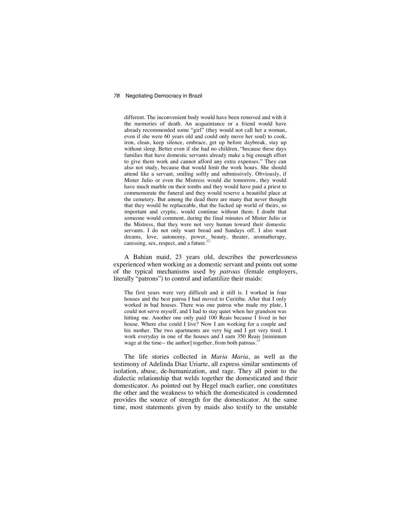different. The inconvenient body would have been removed and with it the memories of death. An acquaintance or a friend would have already recommended some "girl" (they would not call her a woman, even if she were 60 years old and could only move her soul) to cook, iron, clean, keep silence, embrace, get up before daybreak, stay up without sleep. Better even if she had no children, "because these days families that have domestic servants already make a big enough effort to give them work and cannot afford any extra expenses." They can also not study, because that would limit the work hours. She should attend like a servant, smiling softly and submissively. Obviously, if Mister Julio or even the Mistress would die tomorrow, they would have much marble on their tombs and they would have paid a priest to commemorate the funeral and they would reserve a beautiful place at the cemetery. But among the dead there are many that never thought that they would be replaceable, that the fucked up world of theirs, so important and cryptic, would continue without them. I doubt that someone would comment, during the final minutes of Mister Julio or the Mistress, that they were not very human toward their domestic servants. I do not only want bread and Sundays off. I also want dreams, love, autonomy, power, beauty, theater, aromatherapy, caressing, sex, respect, and a future.*<sup>12</sup>*

A Bahian maid, 23 years old, describes the powerlessness experienced when working as a domestic servant and points out some of the typical mechanisms used by *patroas* (female employers, literally "patrons") to control and infantilize their maids:

The first years were very difficult and it still is. I worked in four houses and the best patroa I had moved to Curitiba. After that I only worked in bad houses. There was one patroa who made my plate, I could not serve myself, and I had to stay quiet when her grandson was hitting me. Another one only paid 100 Reais because I lived in her house. Where else could I live? Now I am working for a couple and his mother. The two apartments are very big and I get very tired. I work everyday in one of the houses and I earn 350 Reais [minimum wage at the time-- the author] together, from both patroas.<sup>2</sup>

The life stories collected in *Maria Maria*, as well as the testimony of Adelinda Diaz Uriarte, all express similar sentiments of isolation, abuse, de-humanization, and rage. They all point to the dialectic relationship that welds together the domesticated and their domesticator. As pointed out by Hegel much earlier, one constitutes the other and the weakness to which the domesticated is condemned provides the source of strength for the domesticator. At the same time, most statements given by maids also testify to the unstable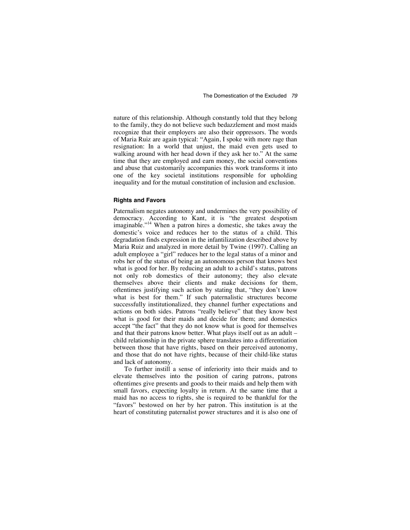nature of this relationship. Although constantly told that they belong to the family, they do not believe such bedazzlement and most maids recognize that their employers are also their oppressors. The words of Maria Ruiz are again typical: "Again, I spoke with more rage than resignation: In a world that unjust, the maid even gets used to walking around with her head down if they ask her to." At the same time that they are employed and earn money, the social conventions and abuse that customarily accompanies this work transforms it into one of the key societal institutions responsible for upholding inequality and for the mutual constitution of inclusion and exclusion.

#### **Rights and Favors**

Paternalism negates autonomy and undermines the very possibility of democracy. According to Kant, it is "the greatest despotism imaginable."14 When a patron hires a domestic, she takes away the domestic's voice and reduces her to the status of a child. This degradation finds expression in the infantilization described above by Maria Ruiz and analyzed in more detail by Twine (1997). Calling an adult employee a "girl" reduces her to the legal status of a minor and robs her of the status of being an autonomous person that knows best what is good for her. By reducing an adult to a child's status, patrons not only rob domestics of their autonomy; they also elevate themselves above their clients and make decisions for them, oftentimes justifying such action by stating that, "they don't know what is best for them." If such paternalistic structures become successfully institutionalized, they channel further expectations and actions on both sides. Patrons "really believe" that they know best what is good for their maids and decide for them; and domestics accept "the fact" that they do not know what is good for themselves and that their patrons know better. What plays itself out as an adult – child relationship in the private sphere translates into a differentiation between those that have rights, based on their perceived autonomy, and those that do not have rights, because of their child-like status and lack of autonomy.

To further instill a sense of inferiority into their maids and to elevate themselves into the position of caring patrons, patrons oftentimes give presents and goods to their maids and help them with small favors, expecting loyalty in return. At the same time that a maid has no access to rights, she is required to be thankful for the "favors" bestowed on her by her patron. This institution is at the heart of constituting paternalist power structures and it is also one of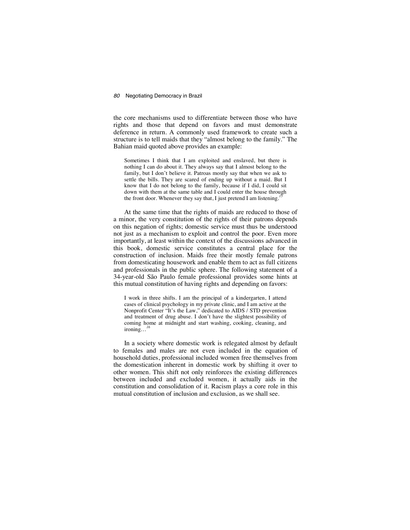the core mechanisms used to differentiate between those who have rights and those that depend on favors and must demonstrate deference in return. A commonly used framework to create such a structure is to tell maids that they "almost belong to the family." The Bahian maid quoted above provides an example:

Sometimes I think that I am exploited and enslaved, but there is nothing I can do about it. They always say that I almost belong to the family, but I don't believe it. Patroas mostly say that when we ask to settle the bills. They are scared of ending up without a maid. But I know that I do not belong to the family, because if I did, I could sit down with them at the same table and I could enter the house through the front door. Whenever they say that, I just pretend I am listening.<sup>2</sup>

At the same time that the rights of maids are reduced to those of a minor, the very constitution of the rights of their patrons depends on this negation of rights; domestic service must thus be understood not just as a mechanism to exploit and control the poor. Even more importantly, at least within the context of the discussions advanced in this book, domestic service constitutes a central place for the construction of inclusion. Maids free their mostly female patrons from domesticating housework and enable them to act as full citizens and professionals in the public sphere. The following statement of a 34-year-old São Paulo female professional provides some hints at this mutual constitution of having rights and depending on favors:

I work in three shifts. I am the principal of a kindergarten, I attend cases of clinical psychology in my private clinic, and I am active at the Nonprofit Center "It's the Law," dedicated to AIDS / STD prevention and treatment of drug abuse. I don't have the slightest possibility of coming home at midnight and start washing, cooking, cleaning, and ironing...

In a society where domestic work is relegated almost by default to females and males are not even included in the equation of household duties, professional included women free themselves from the domestication inherent in domestic work by shifting it over to other women. This shift not only reinforces the existing differences between included and excluded women, it actually aids in the constitution and consolidation of it. Racism plays a core role in this mutual constitution of inclusion and exclusion, as we shall see.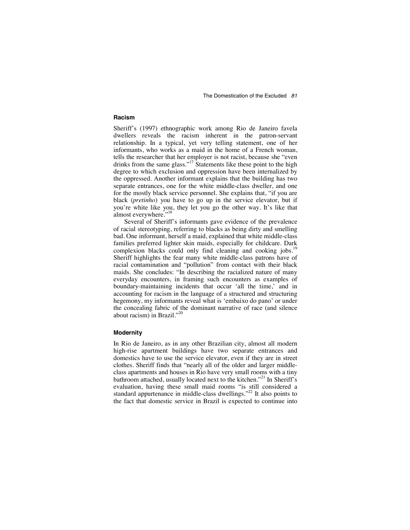#### **Racism**

Sheriff's (1997) ethnographic work among Rio de Janeiro favela dwellers reveals the racism inherent in the patron-servant relationship. In a typical, yet very telling statement, one of her informants, who works as a maid in the home of a French woman, tells the researcher that her employer is not racist, because she "even drinks from the same glass."<sup>17</sup> Statements like these point to the high degree to which exclusion and oppression have been internalized by the oppressed. Another informant explains that the building has two separate entrances, one for the white middle-class dweller, and one for the mostly black service personnel. She explains that, "if you are black (*pretinho*) you have to go up in the service elevator, but if you're white like you, they let you go the other way. It's like that almost everywhere."<sup>18</sup>

Several of Sheriff's informants gave evidence of the prevalence of racial stereotyping, referring to blacks as being dirty and smelling bad. One informant, herself a maid, explained that white middle-class families preferred lighter skin maids, especially for childcare. Dark complexion blacks could only find cleaning and cooking jobs.<sup>19</sup> Sheriff highlights the fear many white middle-class patrons have of racial contamination and "pollution" from contact with their black maids. She concludes: "In describing the racialized nature of many everyday encounters, in framing such encounters as examples of boundary-maintaining incidents that occur 'all the time,' and in accounting for racism in the language of a structured and structuring hegemony, my informants reveal what is 'embaixo do pano' or under the concealing fabric of the dominant narrative of race (and silence about racism) in Brazil."

#### **Modernity**

In Rio de Janeiro, as in any other Brazilian city, almost all modern high-rise apartment buildings have two separate entrances and domestics have to use the service elevator, even if they are in street clothes. Sheriff finds that "nearly all of the older and larger middleclass apartments and houses in Rio have very small rooms with a tiny bathroom attached, usually located next to the kitchen."<sup>21</sup> In Sheriff's evaluation, having these small maid rooms "is still considered a standard appurtenance in middle-class dwellings."<sup>22</sup> It also points to the fact that domestic service in Brazil is expected to continue into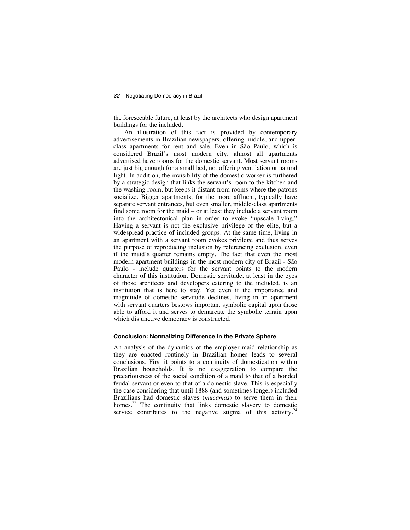the foreseeable future, at least by the architects who design apartment buildings for the included.

An illustration of this fact is provided by contemporary advertisements in Brazilian newspapers, offering middle, and upperclass apartments for rent and sale. Even in São Paulo, which is considered Brazil's most modern city, almost all apartments advertised have rooms for the domestic servant. Most servant rooms are just big enough for a small bed, not offering ventilation or natural light. In addition, the invisibility of the domestic worker is furthered by a strategic design that links the servant's room to the kitchen and the washing room, but keeps it distant from rooms where the patrons socialize. Bigger apartments, for the more affluent, typically have separate servant entrances, but even smaller, middle-class apartments find some room for the maid – or at least they include a servant room into the architectonical plan in order to evoke "upscale living." Having a servant is not the exclusive privilege of the elite, but a widespread practice of included groups. At the same time, living in an apartment with a servant room evokes privilege and thus serves the purpose of reproducing inclusion by referencing exclusion, even if the maid's quarter remains empty. The fact that even the most modern apartment buildings in the most modern city of Brazil - São Paulo - include quarters for the servant points to the modern character of this institution. Domestic servitude, at least in the eyes of those architects and developers catering to the included, is an institution that is here to stay. Yet even if the importance and magnitude of domestic servitude declines, living in an apartment with servant quarters bestows important symbolic capital upon those able to afford it and serves to demarcate the symbolic terrain upon which disjunctive democracy is constructed.

#### **Conclusion: Normalizing Difference in the Private Sphere**

An analysis of the dynamics of the employer-maid relationship as they are enacted routinely in Brazilian homes leads to several conclusions. First it points to a continuity of domestication within Brazilian households. It is no exaggeration to compare the precariousness of the social condition of a maid to that of a bonded feudal servant or even to that of a domestic slave. This is especially the case considering that until 1888 (and sometimes longer) included Brazilians had domestic slaves (*mucamas*) to serve them in their homes.<sup>23</sup> The continuity that links domestic slavery to domestic service contributes to the negative stigma of this activity.<sup>24</sup>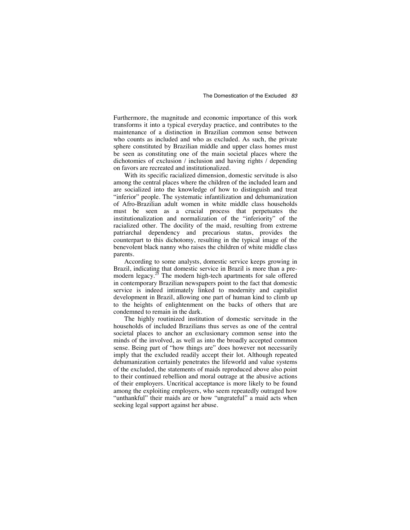Furthermore, the magnitude and economic importance of this work transforms it into a typical everyday practice, and contributes to the maintenance of a distinction in Brazilian common sense between who counts as included and who as excluded. As such, the private sphere constituted by Brazilian middle and upper class homes must be seen as constituting one of the main societal places where the dichotomies of exclusion / inclusion and having rights / depending on favors are recreated and institutionalized.

With its specific racialized dimension, domestic servitude is also among the central places where the children of the included learn and are socialized into the knowledge of how to distinguish and treat "inferior" people. The systematic infantilization and dehumanization of Afro-Brazilian adult women in white middle class households must be seen as a crucial process that perpetuates the institutionalization and normalization of the "inferiority" of the racialized other. The docility of the maid, resulting from extreme patriarchal dependency and precarious status, provides the counterpart to this dichotomy, resulting in the typical image of the benevolent black nanny who raises the children of white middle class parents.

According to some analysts, domestic service keeps growing in Brazil, indicating that domestic service in Brazil is more than a premodern legacy.<sup>25</sup> The modern high-tech apartments for sale offered in contemporary Brazilian newspapers point to the fact that domestic service is indeed intimately linked to modernity and capitalist development in Brazil, allowing one part of human kind to climb up to the heights of enlightenment on the backs of others that are condemned to remain in the dark.

The highly routinized institution of domestic servitude in the households of included Brazilians thus serves as one of the central societal places to anchor an exclusionary common sense into the minds of the involved, as well as into the broadly accepted common sense. Being part of "how things are" does however not necessarily imply that the excluded readily accept their lot. Although repeated dehumanization certainly penetrates the lifeworld and value systems of the excluded, the statements of maids reproduced above also point to their continued rebellion and moral outrage at the abusive actions of their employers. Uncritical acceptance is more likely to be found among the exploiting employers, who seem repeatedly outraged how "unthankful" their maids are or how "ungrateful" a maid acts when seeking legal support against her abuse.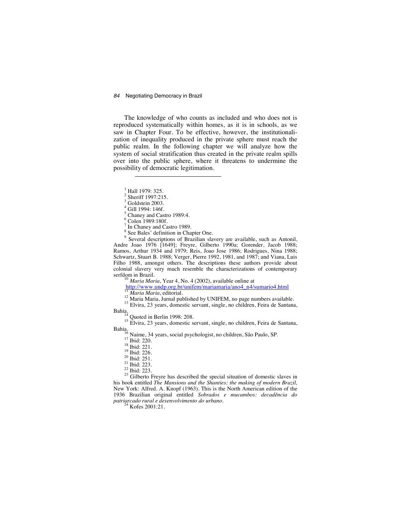The knowledge of who counts as included and who does not is reproduced systematically within homes, as it is in schools, as we saw in Chapter Four. To be effective, however, the institutionalization of inequality produced in the private sphere must reach the public realm. In the following chapter we will analyze how the system of social stratification thus created in the private realm spills over into the public sphere, where it threatens to undermine the possibility of democratic legitimation.

 $\frac{1}{2}$  Hall 1979: 325.

1

 $\frac{3}{1}$  Goldstein 2003.

 $^{4}_{6}$  Gill 1994: 146f.

 $\frac{5}{6}$  Chaney and Castro 1989:4.

 $\frac{6}{7}$  Colen 1989:180f.

 $\frac{7}{9}$  In Chaney and Castro 1989.

 $\frac{8}{9}$  See Bales' definition in Chapter One.

<sup>9</sup> Several descriptions of Brazilian slavery are available, such as Antonil, Andre Joao 1976 [1649]; Freyre, Gilberto 1990a; Gorender, Jacob 1988; Ramos, Arthur 1934 and 1979; Reis, Joao Jose 1986; Rodrigues, Nina 1988; Schwartz, Stuart B. 1988; Verger, Pierre 1992, 1981, and 1987; and Viana, Luis Filho 1988, amongst others. The descriptions these authors provide about colonial slavery very much resemble the characterizations of contemporary

<sup>to</sup> Maria Maria, Year 4, No. 4 (2002), available online at<br>http://www.undp.org.br/unifem/mariamaria/ano4\_n4/sumario4.html  $\frac{11 \text{ Maria Maria, editorial}}{Maria Maria, editorial}$ <br>
<sup>12</sup> Maria Maria, Jurnal published by UNIFEM, no page numbers available.<br>
<sup>13</sup> Elvira, 23 years, domestic servant, single, no children, Feira de Santana,<br>
Bahia,<br>
<sup>14</sup> Ouoted in Berlin 1998: 208.

<sup>15</sup> Elvira, 23 years, domestic servant, single, no children, Feira de Santana, Bahia,<br>
<sup>16</sup> Naime, 34 years, social psychologist, no children, São Paulo, SP.<br>
<sup>17</sup> Ibid: 220.<br>
<sup>18</sup> Ibid: 221.<br>
<sup>19</sup> Ibid: 221.<br>
<sup>19</sup> Ibid: 226.<br>
<sup>21</sup> Ibid: 251.<br>
<sup>21</sup> Ibid: 223.<br>
<sup>22</sup> Ibid: 223.<br>
<sup>22</sup> Ibid: 223.<br>
<sup>23</sup>

his book entitled *The Mansions and the Shanties: the making of modern Brazil,* New York: Alfred. A. Knopf (1963). This is the North American edition of the 1936 Brazilian original entitled *Sobrados e mucambos: decadência do patriarcado rural e desenvolvimento do urbano*. 24 Kofes 2001:21.

 $\frac{2}{3}$  Sheriff 1997:215.